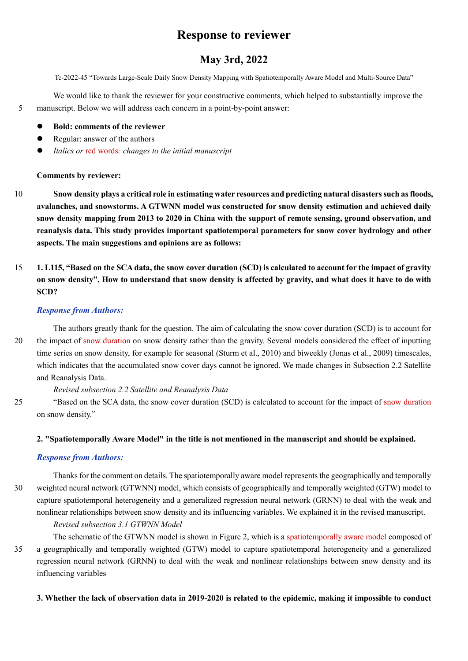# **Response to reviewer**

# **May 3rd, 2022**

Tc-2022-45 "Towards Large-Scale Daily Snow Density Mapping with Spatiotemporally Aware Model and Multi-Source Data"

We would like to thank the reviewer for your constructive comments, which helped to substantially improve the 5 manuscript. Below we will address each concern in a point-by-point answer:

- **Bold: comments of the reviewer**
- Regular: answer of the authors
- *Italics or* red words*: changes to the initial manuscript*

# **Comments by reviewer:**

- 10 **Snow density plays a critical role in estimating water resources and predicting natural disasters such as floods, avalanches, and snowstorms. A GTWNN model was constructed for snow density estimation and achieved daily snow density mapping from 2013 to 2020 in China with the support of remote sensing, ground observation, and reanalysis data. This study provides important spatiotemporal parameters for snow cover hydrology and other aspects. The main suggestions and opinions are as follows:**
- 15 **1. L115, "Based on the SCA data, the snow cover duration (SCD) is calculated to account for the impact of gravity on snow density", How to understand that snow density is affected by gravity, and what does it have to do with SCD?**

# *Response from Authors:*

The authors greatly thank for the question. The aim of calculating the snow cover duration (SCD) is to account for 20 the impact of snow duration on snow density rather than the gravity. Several models considered the effect of inputting time series on snow density, for example for seasonal (Sturm et al., 2010) and biweekly (Jonas et al., 2009) timescales, which indicates that the accumulated snow cover days cannot be ignored. We made changes in Subsection 2.2 Satellite and Reanalysis Data.

# *Revised subsection 2.2 Satellite and Reanalysis Data*

25 "Based on the SCA data, the snow cover duration (SCD) is calculated to account for the impact of snow duration on snow density."

# **2. "Spatiotemporally Aware Model" in the title is not mentioned in the manuscript and should be explained.**

# *Response from Authors:*

Thanks for the comment on details. The spatiotemporally aware model represents the geographically and temporally 30 weighted neural network (GTWNN) model, which consists of geographically and temporally weighted (GTW) model to capture spatiotemporal heterogeneity and a generalized regression neural network (GRNN) to deal with the weak and nonlinear relationships between snow density and its influencing variables. We explained it in the revised manuscript.

# *Revised subsection 3.1 GTWNN Model*

The schematic of the GTWNN model is shown in Figure 2, which is a spatiotemporally aware model composed of 35 a geographically and temporally weighted (GTW) model to capture spatiotemporal heterogeneity and a generalized regression neural network (GRNN) to deal with the weak and nonlinear relationships between snow density and its influencing variables

**3. Whether the lack of observation data in 2019-2020 is related to the epidemic, making it impossible to conduct**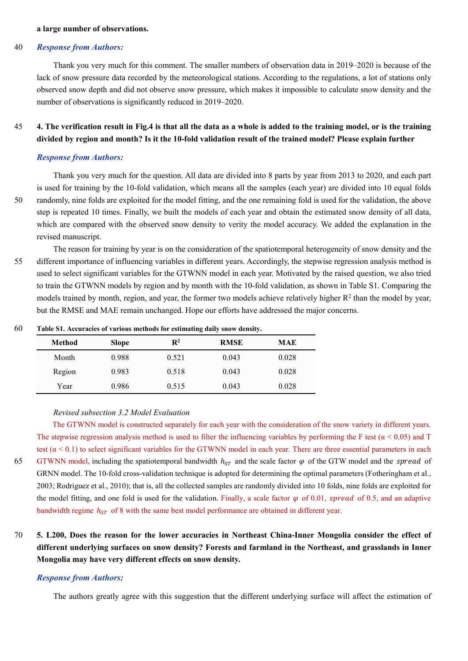#### **a large number of observations.**

### 40 *Response from Authors:*

Thank you very much for this comment. The smaller numbers of observation data in 2019–2020 is because of the lack of snow pressure data recorded by the meteorological stations. According to the regulations, a lot of stations only observed snow depth and did not observe snow pressure, which makes it impossible to calculate snow density and the number of observations is significantly reduced in 2019–2020.

# 45 **4. The verification result in Fig.4 is that all the data as a whole is added to the training model, or is the training divided by region and month? Is it the 10-fold validation result of the trained model? Please explain further**

#### *Response from Authors:*

Thank you very much for the question. All data are divided into 8 parts by year from 2013 to 2020, and each part is used for training by the 10-fold validation, which means all the samples (each year) are divided into 10 equal folds 50 randomly, nine folds are exploited for the model fitting, and the one remaining fold is used for the validation, the above step is repeated 10 times. Finally, we built the models of each year and obtain the estimated snow density of all data, which are compared with the observed snow density to verity the model accuracy. We added the explanation in the revised manuscript.

The reason for training by year is on the consideration of the spatiotemporal heterogeneity of snow density and the 55 different importance of influencing variables in different years. Accordingly, the stepwise regression analysis method is used to select significant variables for the GTWNN model in each year. Motivated by the raised question, we also tried to train the GTWNN models by region and by month with the 10-fold validation, as shown in Table S1. Comparing the models trained by month, region, and year, the former two models achieve relatively higher  $R<sup>2</sup>$  than the model by year, but the RMSE and MAE remain unchanged. Hope our efforts have addressed the major concerns.

| 60 | Table S1. Accuracies of various methods for estimating daily snow density. |              |                |             |            |  |
|----|----------------------------------------------------------------------------|--------------|----------------|-------------|------------|--|
|    | Method                                                                     | <b>Slope</b> | $\mathbf{R}^2$ | <b>RMSE</b> | <b>MAE</b> |  |

| Method | <b>Slope</b> | R4    | <b>RMSE</b> | MAE   |  |
|--------|--------------|-------|-------------|-------|--|
| Month  | 0.988        | 0.521 | 0.043       | 0.028 |  |
| Region | 0.983        | 0.518 | 0.043       | 0.028 |  |
| Year   | 0.986        | 0.515 | 0.043       | 0.028 |  |

*Revised subsection 3.2 Model Evaluation* 

The GTWNN model is constructed separately for each year with the consideration of the snow variety in different years. The stepwise regression analysis method is used to filter the influencing variables by performing the F test ( $\alpha$  < 0.05) and T test  $(\alpha < 0.1)$  to select significant variables for the GTWNN model in each year. There are three essential parameters in each 65 GTWNN model, including the spatiotemporal bandwidth  $h_{ST}$  and the scale factor  $\varphi$  of the GTW model and the *spread* of GRNN model. The 10-fold cross-validation technique is adopted for determining the optimal parameters (Fotheringham et al., 2003; Rodriguez et al., 2010); that is, all the collected samples are randomly divided into 10 folds, nine folds are exploited for the model fitting, and one fold is used for the validation. Finally, a scale factor  $\varphi$  of 0.01, spread of 0.5, and an adaptive bandwidth regime  $h_{ST}$  of 8 with the same best model performance are obtained in different year.

# 70 **5. L200, Does the reason for the lower accuracies in Northeast China-Inner Mongolia consider the effect of different underlying surfaces on snow density? Forests and farmland in the Northeast, and grasslands in Inner Mongolia may have very different effects on snow density.**

#### *Response from Authors:*

The authors greatly agree with this suggestion that the different underlying surface will affect the estimation of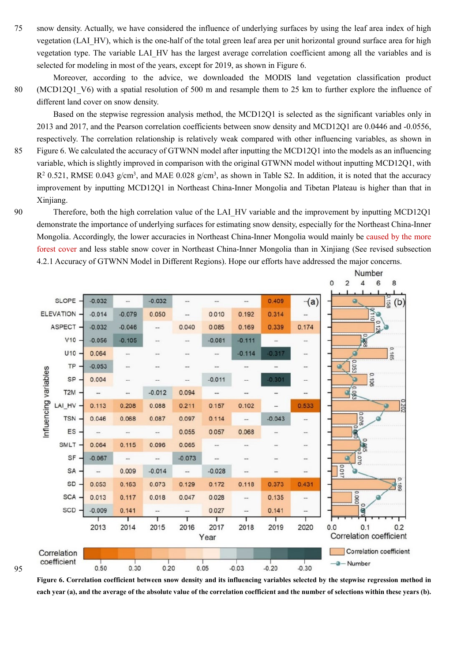75 snow density. Actually, we have considered the influence of underlying surfaces by using the leaf area index of high vegetation (LAI\_HV), which is the one-half of the total green leaf area per unit horizontal ground surface area for high vegetation type. The variable LAI HV has the largest average correlation coefficient among all the variables and is selected for modeling in most of the years, except for 2019, as shown in Figure 6.

Moreover, according to the advice, we downloaded the MODIS land vegetation classification product 80 (MCD12Q1\_V6) with a spatial resolution of 500 m and resample them to 25 km to further explore the influence of different land cover on snow density.

Based on the stepwise regression analysis method, the MCD12Q1 is selected as the significant variables only in 2013 and 2017, and the Pearson correlation coefficients between snow density and MCD12Q1 are 0.0446 and -0.0556, respectively. The correlation relationship is relatively weak compared with other influencing variables, as shown in 85 Figure 6. We calculated the accuracy of GTWNN model after inputting the MCD12Q1 into the models as an influencing variable, which is slightly improved in comparison with the original GTWNN model without inputting MCD12Q1, with  $R^2$  0.521, RMSE 0.043 g/cm<sup>3</sup>, and MAE 0.028 g/cm<sup>3</sup>, as shown in Table S2. In addition, it is noted that the accuracy improvement by inputting MCD12Q1 in Northeast China-Inner Mongolia and Tibetan Plateau is higher than that in Xinjiang.

90 Therefore, both the high correlation value of the LAI HV variable and the improvement by inputting MCD12Q1 demonstrate the importance of underlying surfaces for estimating snow density, especially for the Northeast China-Inner Mongolia. Accordingly, the lower accuracies in Northeast China-Inner Mongolia would mainly be caused by the more forest cover and less stable snow cover in Northeast China-Inner Mongolia than in Xinjiang (See revised subsection 4.2.1 Accuracy of GTWNN Model in Different Regions). Hope our efforts have addressed the major concerns.



**Figure 6. Correlation coefficient between snow density and its influencing variables selected by the stepwise regression method in each year (a), and the average of the absolute value of the correlation coefficient and the number of selections within these years (b).**

95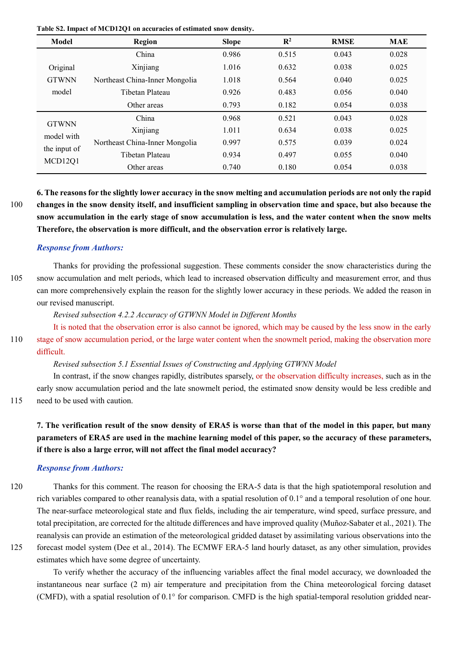**Table S2. Impact of MCD12Q1 on accuracies of estimated snow density.** 

| Model                             | Region                                                                                | <b>Slope</b> | $\mathbf{R}^2$ | <b>RMSE</b> | <b>MAE</b> |
|-----------------------------------|---------------------------------------------------------------------------------------|--------------|----------------|-------------|------------|
|                                   | China                                                                                 | 0.986        | 0.515          | 0.043       | 0.028      |
| Original<br><b>GTWNN</b><br>model | Xinjiang                                                                              | 1.016        | 0.632          | 0.038       | 0.025      |
|                                   | Northeast China-Inner Mongolia                                                        | 1.018        | 0.564          | 0.040       | 0.025      |
|                                   | Tibetan Plateau                                                                       | 0.926        | 0.483          | 0.056       | 0.040      |
|                                   | Other areas                                                                           | 0.793        | 0.182          | 0.054       | 0.038      |
| <b>GTWNN</b>                      | China<br>Xinjiang<br>Northeast China-Inner Mongolia<br>Tibetan Plateau<br>Other areas | 0.968        | 0.521          | 0.043       | 0.028      |
| model with                        |                                                                                       | 1.011        | 0.634          | 0.038       | 0.025      |
| the input of                      |                                                                                       | 0.997        | 0.575          | 0.039       | 0.024      |
| MCD12Q1                           |                                                                                       | 0.934        | 0.497          | 0.055       | 0.040      |
|                                   |                                                                                       | 0.740        | 0.180          | 0.054       | 0.038      |

**6. The reasons for the slightly lower accuracy in the snow melting and accumulation periods are not only the rapid**  100 **changes in the snow density itself, and insufficient sampling in observation time and space, but also because the snow accumulation in the early stage of snow accumulation is less, and the water content when the snow melts Therefore, the observation is more difficult, and the observation error is relatively large.** 

# *Response from Authors:*

Thanks for providing the professional suggestion. These comments consider the snow characteristics during the 105 snow accumulation and melt periods, which lead to increased observation difficulty and measurement error, and thus can more comprehensively explain the reason for the slightly lower accuracy in these periods. We added the reason in our revised manuscript.

*Revised subsection 4.2.2 Accuracy of GTWNN Model in Different Months*

It is noted that the observation error is also cannot be ignored, which may be caused by the less snow in the early 110 stage of snow accumulation period, or the large water content when the snowmelt period, making the observation more difficult.

*Revised subsection 5.1 Essential Issues of Constructing and Applying GTWNN Model* 

In contrast, if the snow changes rapidly, distributes sparsely, or the observation difficulty increases, such as in the early snow accumulation period and the late snowmelt period, the estimated snow density would be less credible and 115 need to be used with caution.

**7. The verification result of the snow density of ERA5 is worse than that of the model in this paper, but many parameters of ERA5 are used in the machine learning model of this paper, so the accuracy of these parameters, if there is also a large error, will not affect the final model accuracy?**

# *Response from Authors:*

- 120 Thanks for this comment. The reason for choosing the ERA-5 data is that the high spatiotemporal resolution and rich variables compared to other reanalysis data, with a spatial resolution of 0.1° and a temporal resolution of one hour. The near-surface meteorological state and flux fields, including the air temperature, wind speed, surface pressure, and total precipitation, are corrected for the altitude differences and have improved quality (Muñoz-Sabater et al., 2021). The reanalysis can provide an estimation of the meteorological gridded dataset by assimilating various observations into the
- 

125 forecast model system (Dee et al., 2014). The ECMWF ERA-5 land hourly dataset, as any other simulation, provides estimates which have some degree of uncertainty. To verify whether the accuracy of the influencing variables affect the final model accuracy, we downloaded the

instantaneous near surface (2 m) air temperature and precipitation from the China meteorological forcing dataset (CMFD), with a spatial resolution of 0.1° for comparison. CMFD is the high spatial-temporal resolution gridded near